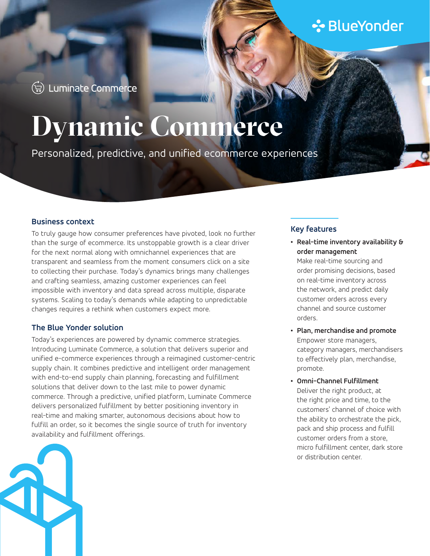## **∻**BlueYonder

(-) Luminate Commerce

# **Dynamic Commerce**

Personalized, predictive, and unified ecommerce experiences

#### **Business context**

To truly gauge how consumer preferences have pivoted, look no further than the surge of ecommerce. Its unstoppable growth is a clear driver for the next normal along with omnichannel experiences that are transparent and seamless from the moment consumers click on a site to collecting their purchase. Today's dynamics brings many challenges and crafting seamless, amazing customer experiences can feel impossible with inventory and data spread across multiple, disparate systems. Scaling to today's demands while adapting to unpredictable changes requires a rethink when customers expect more.

#### **The Blue Yonder solution**

Today's experiences are powered by dynamic commerce strategies. Introducing Luminate Commerce, a solution that delivers superior and unified e-commerce experiences through a reimagined customer-centric supply chain. It combines predictive and intelligent order management with end-to-end supply chain planning, forecasting and fulfillment solutions that deliver down to the last mile to power dynamic commerce. Through a predictive, unified platform, Luminate Commerce delivers personalized fulfillment by better positioning inventory in real-time and making smarter, autonomous decisions about how to fulfill an order, so it becomes the single source of truth for inventory availability and fulfillment offerings.



#### **Key features**

- **• Real-time inventory availability & order management** Make real-time sourcing and order promising decisions, based on real-time inventory across the network, and predict daily customer orders across every channel and source customer orders.
- **• Plan, merchandise and promote** Empower store managers, category managers, merchandisers to effectively plan, merchandise, promote.
- **• Omni-Channel Fulfillment** Deliver the right product, at the right price and time, to the customers' channel of choice with the ability to orchestrate the pick, pack and ship process and fulfill customer orders from a store, micro fulfillment center, dark store or distribution center.